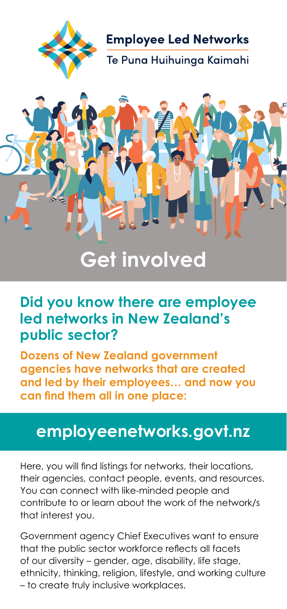

**Employee Led Networks** -<br>Te Puna Huihuinga Kaimahi



# **Get involved**

#### **Did you know there are employee led networks in New Zealand's public sector?**

**Dozens of New Zealand government agencies have networks that are created and led by their employees… and now you can find them all in one place:**

#### **employeenetworks.govt.nz**

Here, you will find listings for networks, their locations, their agencies, contact people, events, and resources. You can connect with like-minded people and contribute to or learn about the work of the network/s that interest you.

Government agency Chief Executives want to ensure that the public sector workforce reflects all facets of our diversity – gender, age, disability, life stage, ethnicity, thinking, religion, lifestyle, and working culture – to create truly inclusive workplaces.